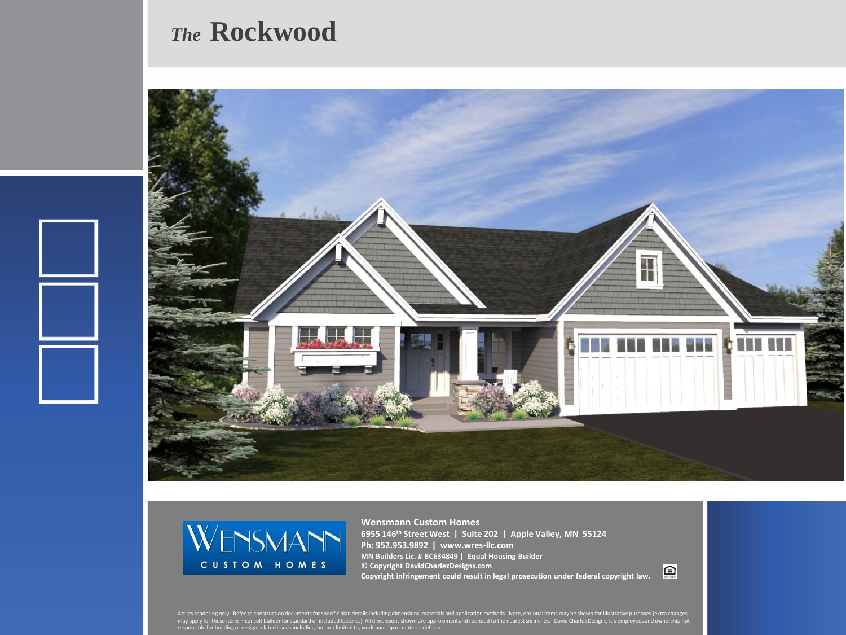## *The* **Rockwood**





**Wensmann Custom Homes 6955 146th Street West | Suite 202 | Apple Valley, MN 55124 Ph: 952.953.9892 | www.wres-llc.com MN Builders Lic. # BC634849 | Equal Housing Builder © Copyright DavidCharlezDesigns.com Copyright infringement could result in legal prosecution under federal copyright law.**

回

Artists rendering only. Refer to construction documents for specific plan details including dimensions, materials and application methods. Note, optional items may be shown for illustrative purposes (extra changes<br>may appl